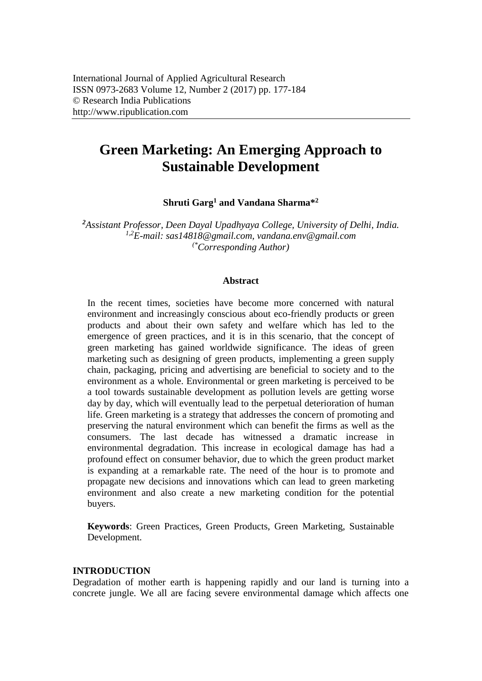# **Green Marketing: An Emerging Approach to Sustainable Development**

**Shruti Garg<sup>1</sup> and Vandana Sharma\*<sup>2</sup>**

*<sup>2</sup>Assistant Professor, Deen Dayal Upadhyaya College, University of Delhi, India. 1,2E-mail: [sas14818@gmail.com,](mailto:sas14818@gmail.com) [vandana.env@gmail.com](mailto:vandana.env@gmail.com) (\*Corresponding Author)*

#### **Abstract**

In the recent times, societies have become more concerned with natural environment and increasingly conscious about eco-friendly products or green products and about their own safety and welfare which has led to the emergence of green practices, and it is in this scenario, that the concept of green marketing has gained worldwide significance. The ideas of green marketing such as designing of green products, implementing a green supply chain, packaging, pricing and advertising are beneficial to society and to the environment as a whole. Environmental or green marketing is perceived to be a tool towards sustainable development as pollution levels are getting worse day by day, which will eventually lead to the perpetual deterioration of human life. Green marketing is a strategy that addresses the concern of promoting and preserving the natural environment which can benefit the firms as well as the consumers. The last decade has witnessed a dramatic increase in environmental degradation. This increase in ecological damage has had a profound effect on consumer behavior, due to which the green product market is expanding at a remarkable rate. The need of the hour is to promote and propagate new decisions and innovations which can lead to green marketing environment and also create a new marketing condition for the potential buyers.

**Keywords**: Green Practices, Green Products, Green Marketing, Sustainable Development.

## **INTRODUCTION**

Degradation of mother earth is happening rapidly and our land is turning into a concrete jungle. We all are facing severe environmental damage which affects one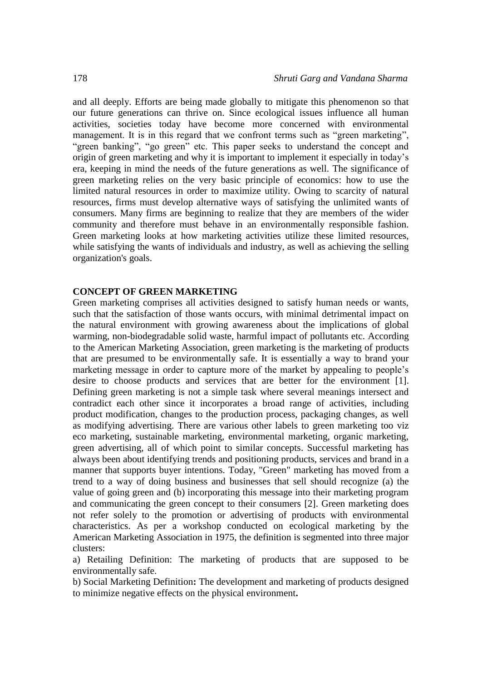and all deeply. Efforts are being made globally to mitigate this phenomenon so that our future generations can thrive on. Since ecological issues influence all human activities, societies today have become more concerned with environmental management. It is in this regard that we confront terms such as "green marketing", "green banking", "go green" etc. This paper seeks to understand the concept and origin of green marketing and why it is important to implement it especially in today's era, keeping in mind the needs of the future generations as well. The significance of green marketing relies on the very basic principle of economics: how to use the limited natural resources in order to maximize utility. Owing to scarcity of natural resources, firms must develop alternative ways of satisfying the unlimited wants of consumers. Many firms are beginning to realize that they are members of the wider community and therefore must behave in an environmentally responsible fashion. Green marketing looks at how marketing activities utilize these limited resources, while satisfying the wants of individuals and industry, as well as achieving the selling organization's goals.

## **CONCEPT OF GREEN MARKETING**

Green marketing comprises all activities designed to satisfy human needs or wants, such that the satisfaction of those wants occurs, with minimal detrimental impact on the natural environment with growing awareness about the implications of global warming, non-biodegradable solid waste, harmful impact of pollutants etc. According to the American Marketing Association, green marketing is the marketing of products that are presumed to be environmentally safe. It is essentially a way to brand your marketing message in order to capture more of the market by appealing to people's desire to choose products and services that are better for the environment [1]. Defining green marketing is not a simple task where several meanings intersect and contradict each other since it incorporates a broad range of activities, including product modification, changes to the production process, packaging changes, as well as modifying advertising. There are various other labels to green marketing too viz eco marketing, sustainable marketing, environmental marketing, organic marketing, green advertising, all of which point to similar concepts. Successful marketing has always been about identifying trends and positioning products, services and brand in a manner that supports buyer intentions. Today, "Green" marketing has moved from a trend to a way of doing business and businesses that sell should recognize (a) the value of going green and (b) incorporating this message into their marketing program and communicating the green concept to their consumers [2]. Green marketing does not refer solely to the promotion or advertising of products with environmental characteristics. As per a workshop conducted on ecological marketing by the American Marketing Association in 1975, the definition is segmented into three major clusters:

a) Retailing Definition: The marketing of products that are supposed to be environmentally safe.

b) Social Marketing Definition**:** The development and marketing of products designed to minimize negative effects on the physical environment**.**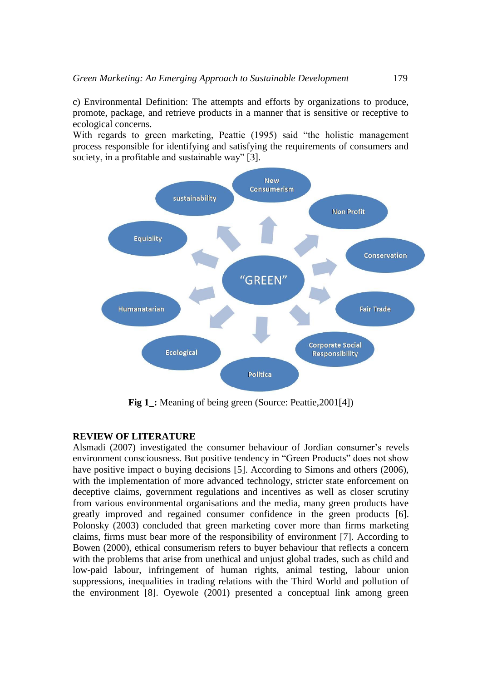c) Environmental Definition: The attempts and efforts by organizations to produce, promote, package, and retrieve products in a manner that is sensitive or receptive to ecological concerns.

With regards to green marketing, Peattie (1995) said "the holistic management process responsible for identifying and satisfying the requirements of consumers and society, in a profitable and sustainable way" [3].



**Fig 1**: Meaning of being green (Source: Peattie, 2001[4])

## **REVIEW OF LITERATURE**

Alsmadi (2007) investigated the consumer behaviour of Jordian consumer's revels environment consciousness. But positive tendency in "Green Products" does not show have positive impact o buying decisions [5]. According to Simons and others (2006), with the implementation of more advanced technology, stricter state enforcement on deceptive claims, government regulations and incentives as well as closer scrutiny from various environmental organisations and the media, many green products have greatly improved and regained consumer confidence in the green products [6]. Polonsky (2003) concluded that green marketing cover more than firms marketing claims, firms must bear more of the responsibility of environment [7]. According to Bowen (2000), ethical consumerism refers to buyer behaviour that reflects a concern with the problems that arise from unethical and unjust global trades, such as child and low-paid labour, infringement of human rights, animal testing, labour union suppressions, inequalities in trading relations with the Third World and pollution of the environment [8]. Oyewole (2001) presented a conceptual link among green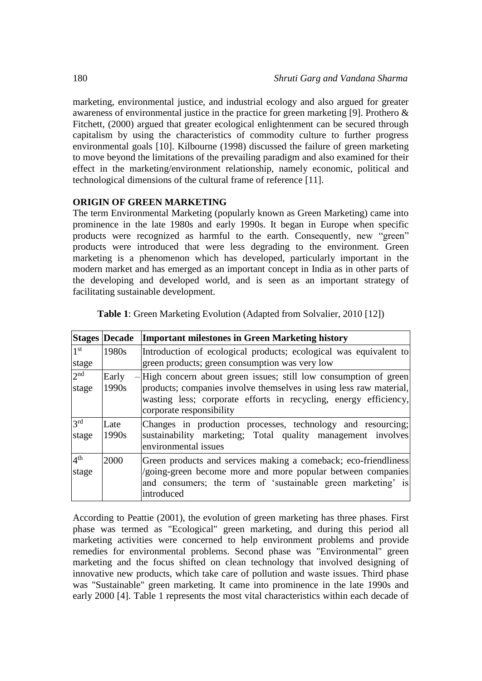marketing, environmental justice, and industrial ecology and also argued for greater awareness of environmental justice in the practice for green marketing [9]. Prothero & Fitchett, (2000) argued that greater ecological enlightenment can be secured through capitalism by using the characteristics of commodity culture to further progress environmental goals [10]. Kilbourne (1998) discussed the failure of green marketing to move beyond the limitations of the prevailing paradigm and also examined for their effect in the marketing/environment relationship, namely economic, political and technological dimensions of the cultural frame of reference [11].

## **ORIGIN OF GREEN MARKETING**

The term Environmental Marketing (popularly known as Green Marketing) came into prominence in the late 1980s and early 1990s. It began in Europe when specific products were recognized as harmful to the earth. Consequently, new "green" products were introduced that were less degrading to the environment. Green marketing is a phenomenon which has developed, particularly important in the modern market and has emerged as an important concept in India as in other parts of the developing and developed world, and is seen as an important strategy of facilitating sustainable development.

|                          | <b>Stages Decade</b> | <b>Important milestones in Green Marketing history</b>                                                                                                                                                                                    |
|--------------------------|----------------------|-------------------------------------------------------------------------------------------------------------------------------------------------------------------------------------------------------------------------------------------|
| 1 <sup>st</sup>          | 1980s                | Introduction of ecological products; ecological was equivalent to                                                                                                                                                                         |
| stage                    |                      | green products; green consumption was very low                                                                                                                                                                                            |
| 2 <sub>nd</sub><br>stage | Early<br>1990s       | $-$ High concern about green issues; still low consumption of green<br>products; companies involve themselves in using less raw material,<br>wasting less; corporate efforts in recycling, energy efficiency,<br>corporate responsibility |
| 2rd<br>stage             | Late<br>1990s        | Changes in production processes, technology and resourcing;<br>sustainability marketing; Total quality management involves<br>environmental issues                                                                                        |
| 4 <sup>th</sup><br>stage | 2000                 | Green products and services making a comeback; eco-friendliness<br>/going-green become more and more popular between companies<br>and consumers; the term of 'sustainable green marketing' is<br>introduced                               |

**Table 1**: Green Marketing Evolution (Adapted from Solvalier, 2010 [12])

According to Peattie (2001), the evolution of green marketing has three phases. First phase was termed as "Ecological" green marketing, and during this period all marketing activities were concerned to help environment problems and provide remedies for environmental problems. Second phase was "Environmental" green marketing and the focus shifted on clean technology that involved designing of innovative new products, which take care of pollution and waste issues. Third phase was "Sustainable" green marketing. It came into prominence in the late 1990s and early 2000 [4]. Table 1 represents the most vital characteristics within each decade of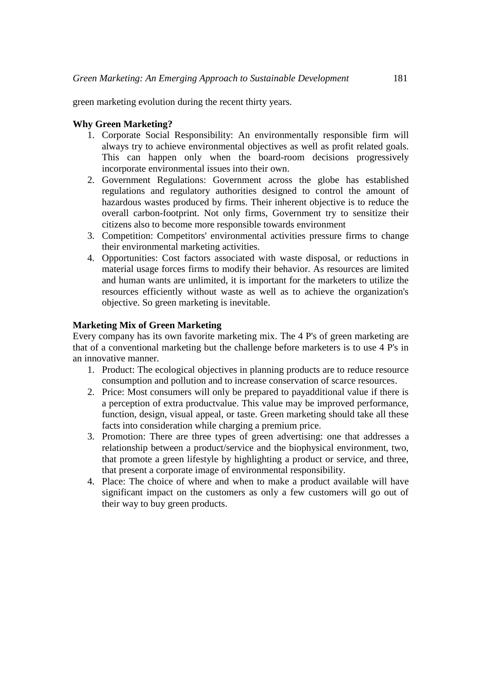green marketing evolution during the recent thirty years.

## **Why Green Marketing?**

- 1. Corporate Social Responsibility: An environmentally responsible firm will always try to achieve environmental objectives as well as profit related goals. This can happen only when the board-room decisions progressively incorporate environmental issues into their own.
- 2. Government Regulations: Government across the globe has established regulations and regulatory authorities designed to control the amount of hazardous wastes produced by firms. Their inherent objective is to reduce the overall carbon-footprint. Not only firms, Government try to sensitize their citizens also to become more responsible towards environment
- 3. Competition: Competitors' environmental activities pressure firms to change their environmental marketing activities.
- 4. Opportunities: Cost factors associated with waste disposal, or reductions in material usage forces firms to modify their behavior. As resources are limited and human wants are unlimited, it is important for the marketers to utilize the resources efficiently without waste as well as to achieve the organization's objective. So green marketing is inevitable.

## **Marketing Mix of Green Marketing**

Every company has its own favorite marketing mix. The 4 P's of green marketing are that of a conventional marketing but the challenge before marketers is to use 4 P's in an innovative manner.

- 1. Product: The ecological objectives in planning products are to reduce resource consumption and pollution and to increase conservation of scarce resources.
- 2. Price: Most consumers will only be prepared to payadditional value if there is a perception of extra productvalue. This value may be improved performance, function, design, visual appeal, or taste. Green marketing should take all these facts into consideration while charging a premium price.
- 3. Promotion: There are three types of green advertising: one that addresses a relationship between a product/service and the biophysical environment, two, that promote a green lifestyle by highlighting a product or service, and three, that present a corporate image of environmental responsibility.
- 4. Place: The choice of where and when to make a product available will have significant impact on the customers as only a few customers will go out of their way to buy green products.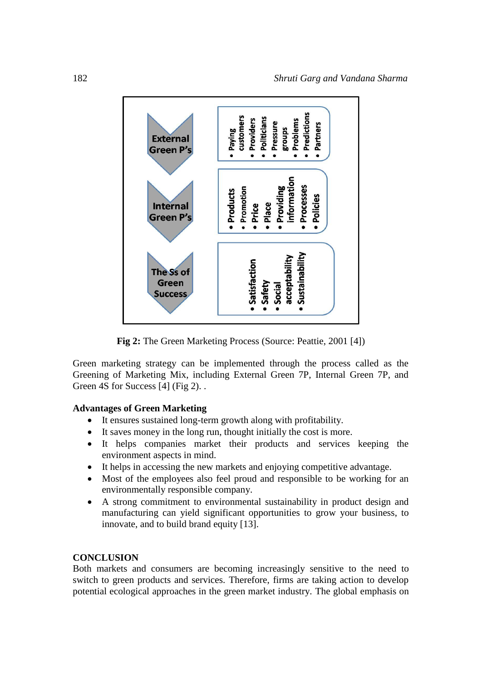

**Fig 2:** The Green Marketing Process (Source: Peattie, 2001 [4])

Green marketing strategy can be implemented through the process called as the Greening of Marketing Mix, including External Green 7P, Internal Green 7P, and Green 4S for Success [4] (Fig 2)...

## **Advantages of Green Marketing**

- It ensures sustained long-term growth along with profitability.
- It saves money in the long run, thought initially the cost is more.
- It helps companies market their products and services keeping the environment aspects in mind.
- It helps in accessing the new markets and enjoying competitive advantage.
- Most of the employees also feel proud and responsible to be working for an environmentally responsible company.
- A strong commitment to environmental sustainability in product design and manufacturing can yield significant opportunities to grow your business, to innovate, and to build brand equity [13].

## **CONCLUSION**

Both markets and consumers are becoming increasingly sensitive to the need to switch to green products and services. Therefore, firms are taking action to develop potential ecological approaches in the green market industry. The global emphasis on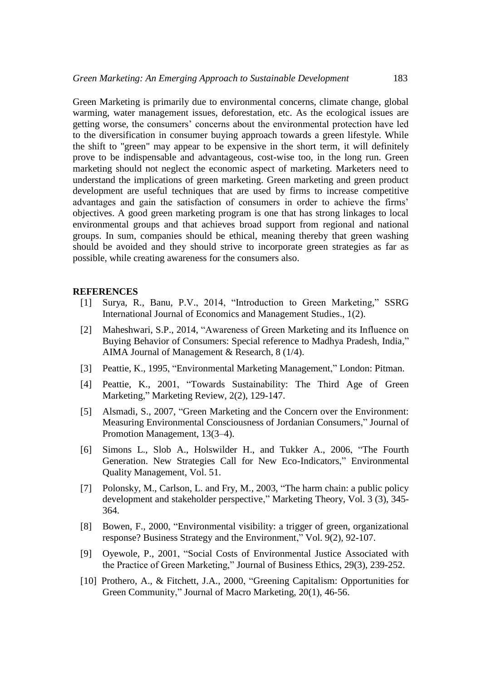Green Marketing is primarily due to environmental concerns, climate change, global warming, water management issues, deforestation, etc. As the ecological issues are getting worse, the consumers' concerns about the environmental protection have led to the diversification in consumer buying approach towards a green lifestyle. While the shift to "green" may appear to be expensive in the short term, it will definitely prove to be indispensable and advantageous, cost-wise too, in the long run. Green marketing should not neglect the economic aspect of marketing. Marketers need to understand the implications of green marketing. Green marketing and green product development are useful techniques that are used by firms to increase competitive advantages and gain the satisfaction of consumers in order to achieve the firms' objectives. A good green marketing program is one that has strong linkages to local environmental groups and that achieves broad support from regional and national groups. In sum, companies should be ethical, meaning thereby that green washing should be avoided and they should strive to incorporate green strategies as far as possible, while creating awareness for the consumers also.

#### **REFERENCES**

- [1] Surya, R., Banu, P.V., 2014, "Introduction to Green Marketing," SSRG International Journal of Economics and Management Studies., 1(2).
- [2] Maheshwari, S.P., 2014, "Awareness of Green Marketing and its Influence on Buying Behavior of Consumers: Special reference to Madhya Pradesh, India," AIMA Journal of Management & Research, 8 (1/4).
- [3] Peattie, K., 1995, "Environmental Marketing Management," London: Pitman.
- [4] Peattie, K., 2001, "Towards Sustainability: The Third Age of Green Marketing," Marketing Review, 2(2), 129-147.
- [5] Alsmadi, S., 2007, "Green Marketing and the Concern over the Environment: Measuring Environmental Consciousness of Jordanian Consumers," Journal of Promotion Management, 13(3–4).
- [6] Simons L., Slob A., Holswilder H., and Tukker A., 2006, "The Fourth Generation. New Strategies Call for New Eco-Indicators," Environmental Quality Management, Vol. 51.
- [7] Polonsky, M., Carlson, L. and Fry, M., 2003, "The harm chain: a public policy development and stakeholder perspective," Marketing Theory, Vol. 3 (3), 345- 364.
- [8] Bowen, F., 2000, "Environmental visibility: a trigger of green, organizational response? Business Strategy and the Environment," Vol. 9(2), 92-107.
- [9] Oyewole, P., 2001, "Social Costs of Environmental Justice Associated with the Practice of Green Marketing," Journal of Business Ethics, 29(3), 239-252.
- [10] Prothero, A., & Fitchett, J.A., 2000, "Greening Capitalism: Opportunities for Green Community," Journal of Macro Marketing, 20(1), 46-56.